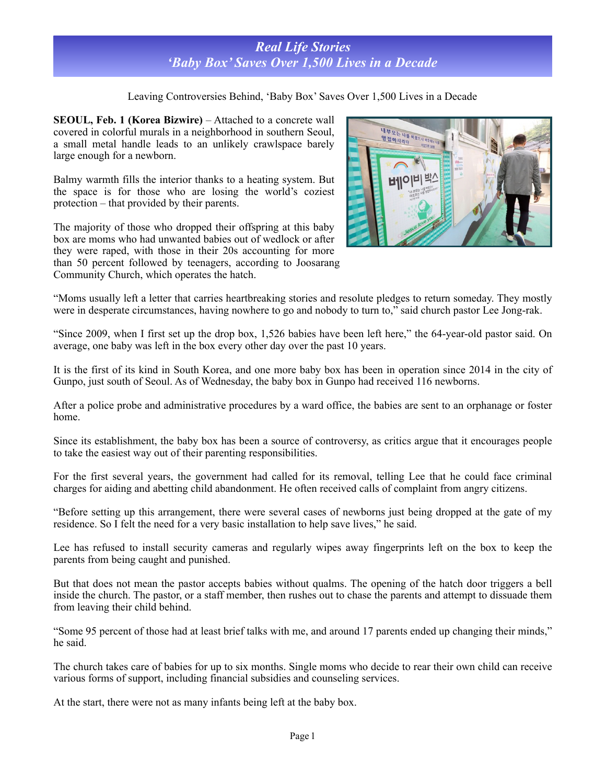## *Real Life Stories 'Baby Box' Saves Over 1,500 Lives in a Decade*

Leaving Controversies Behind, 'Baby Box' Saves Over 1,500 Lives in a Decade

**SEOUL, Feb. 1 (Korea Bizwire)** – Attached to a concrete wall covered in colorful murals in a neighborhood in southern Seoul, a small metal handle leads to an unlikely crawlspace barely large enough for a newborn.

Balmy warmth fills the interior thanks to a heating system. But the space is for those who are losing the world's coziest protection – that provided by their parents.

The majority of those who dropped their offspring at this baby box are moms who had unwanted babies out of wedlock or after they were raped, with those in their 20s accounting for more than 50 percent followed by teenagers, according to Joosarang Community Church, which operates the hatch.



"Moms usually left a letter that carries heartbreaking stories and resolute pledges to return someday. They mostly were in desperate circumstances, having nowhere to go and nobody to turn to," said church pastor Lee Jong-rak.

"Since 2009, when I first set up the drop box, 1,526 babies have been left here," the 64-year-old pastor said. On average, one baby was left in the box every other day over the past 10 years.

It is the first of its kind in South Korea, and one more baby box has been in operation since 2014 in the city of Gunpo, just south of Seoul. As of Wednesday, the baby box in Gunpo had received 116 newborns.

After a police probe and administrative procedures by a ward office, the babies are sent to an orphanage or foster home.

Since its establishment, the baby box has been a source of controversy, as critics argue that it encourages people to take the easiest way out of their parenting responsibilities.

For the first several years, the government had called for its removal, telling Lee that he could face criminal charges for aiding and abetting child abandonment. He often received calls of complaint from angry citizens.

"Before setting up this arrangement, there were several cases of newborns just being dropped at the gate of my residence. So I felt the need for a very basic installation to help save lives," he said.

Lee has refused to install security cameras and regularly wipes away fingerprints left on the box to keep the parents from being caught and punished.

But that does not mean the pastor accepts babies without qualms. The opening of the hatch door triggers a bell inside the church. The pastor, or a staff member, then rushes out to chase the parents and attempt to dissuade them from leaving their child behind.

"Some 95 percent of those had at least brief talks with me, and around 17 parents ended up changing their minds," he said.

The church takes care of babies for up to six months. Single moms who decide to rear their own child can receive various forms of support, including financial subsidies and counseling services.

At the start, there were not as many infants being left at the baby box.